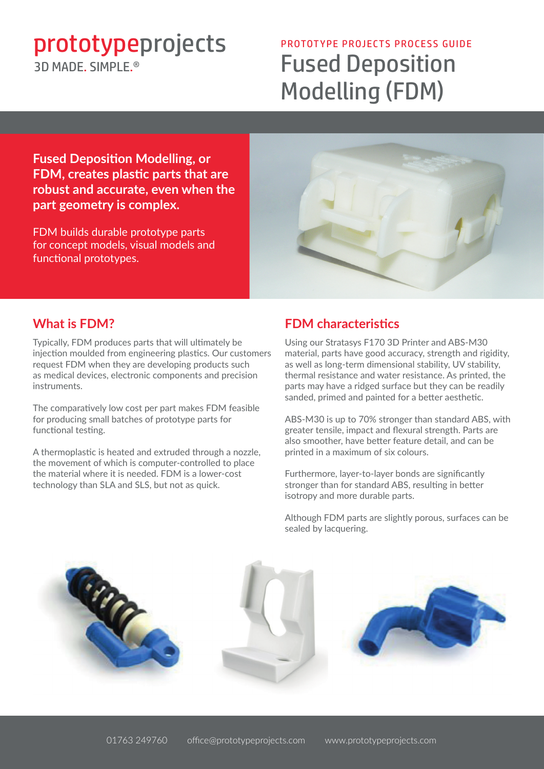# prototypeprojects PROTOTYPE PROJECTS PROCESS GUIDE 3D MADE SIMPLE<sup>®</sup>

# Fused Deposition Modelling (FDM)

**Fused Deposition Modelling, or FDM, creates plastic parts that are robust and accurate, even when the part geometry is complex.**

FDM builds durable prototype parts for concept models, visual models and functional prototypes.



### **What is FDM?**

Typically, FDM produces parts that will ultimately be injection moulded from engineering plastics. Our customers request FDM when they are developing products such as medical devices, electronic components and precision instruments.

The comparatively low cost per part makes FDM feasible for producing small batches of prototype parts for functional testing.

A thermoplastic is heated and extruded through a nozzle, the movement of which is computer-controlled to place the material where it is needed. FDM is a lower-cost technology than SLA and SLS, but not as quick.

## **FDM characteristics**

Using our Stratasys F170 3D Printer and ABS-M30 material, parts have good accuracy, strength and rigidity, as well as long-term dimensional stability, UV stability, thermal resistance and water resistance. As printed, the parts may have a ridged surface but they can be readily sanded, primed and painted for a better aesthetic.

ABS-M30 is up to 70% stronger than standard ABS, with greater tensile, impact and flexural strength. Parts are also smoother, have better feature detail, and can be printed in a maximum of six colours.

Furthermore, layer-to-layer bonds are significantly stronger than for standard ABS, resulting in better isotropy and more durable parts.

Although FDM parts are slightly porous, surfaces can be sealed by lacquering.